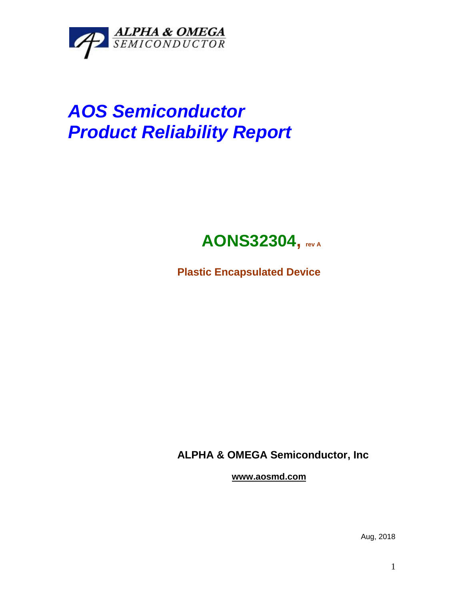

# *AOS Semiconductor Product Reliability Report*

## **AONS32304, rev <sup>A</sup>**

**Plastic Encapsulated Device**

**ALPHA & OMEGA Semiconductor, Inc**

**www.aosmd.com**

Aug, 2018